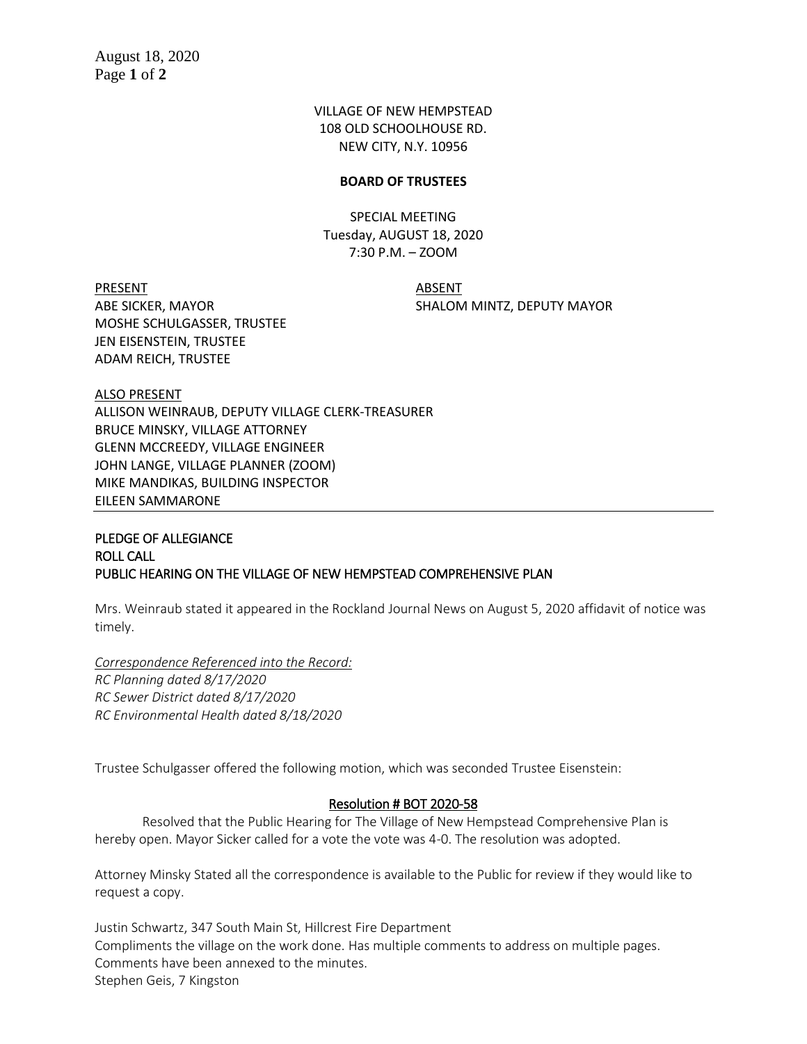VILLAGE OF NEW HEMPSTEAD 108 OLD SCHOOLHOUSE RD. NEW CITY, N.Y. 10956

#### **BOARD OF TRUSTEES**

SPECIAL MEETING Tuesday, AUGUST 18, 2020 7:30 P.M. – ZOOM

PRESENT ABSENT ABE SICKER, MAYOR SHALOM MINTZ, DEPUTY MAYOR MOSHE SCHULGASSER, TRUSTEE JEN EISENSTEIN, TRUSTEE ADAM REICH, TRUSTEE

ALSO PRESENT ALLISON WEINRAUB, DEPUTY VILLAGE CLERK-TREASURER BRUCE MINSKY, VILLAGE ATTORNEY GLENN MCCREEDY, VILLAGE ENGINEER JOHN LANGE, VILLAGE PLANNER (ZOOM) MIKE MANDIKAS, BUILDING INSPECTOR EILEEN SAMMARONE

# PLEDGE OF ALLEGIANCE ROLL CALL PUBLIC HEARING ON THE VILLAGE OF NEW HEMPSTEAD COMPREHENSIVE PLAN

Mrs. Weinraub stated it appeared in the Rockland Journal News on August 5, 2020 affidavit of notice was timely.

*Correspondence Referenced into the Record: RC Planning dated 8/17/2020 RC Sewer District dated 8/17/2020 RC Environmental Health dated 8/18/2020*

Trustee Schulgasser offered the following motion, which was seconded Trustee Eisenstein:

### Resolution # BOT 2020-58

Resolved that the Public Hearing for The Village of New Hempstead Comprehensive Plan is hereby open. Mayor Sicker called for a vote the vote was 4-0. The resolution was adopted.

Attorney Minsky Stated all the correspondence is available to the Public for review if they would like to request a copy.

Justin Schwartz, 347 South Main St, Hillcrest Fire Department Compliments the village on the work done. Has multiple comments to address on multiple pages. Comments have been annexed to the minutes. Stephen Geis, 7 Kingston